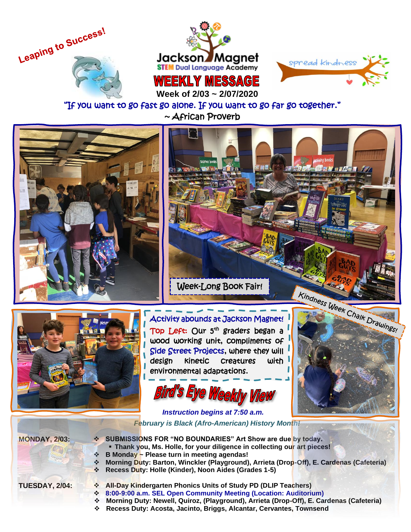





 **Week of 2/03 ~ 2/07/2020**

## "If you want to go fast go alone. If you want to go far go together." ~ African Proverb





Top Left: Our 5<sup>th</sup> graders began a wood working unit, compliments of Side Street Projects, where they will design kinetic creatures with environmental adaptations.

Bird's Eye Weekly View



 *Instruction begins at 7:50 a.m. February is Black (Afro-American) History Month!*

- **MONDAY, 2/03:** ❖ **SUBMISSIONS FOR "NO BOUNDARIES" Art Show are due by today.**
	- **Thank you, Ms. Holle, for your diligence in collecting our art pieces!**
	- ❖ **B Monday ~ Please turn in meeting agendas!**
	- ❖ **Morning Duty: Barton, Winckler (Playground), Arrieta (Drop-Off), E. Cardenas (Cafeteria)**
	- ❖ **Recess Duty: Holle (Kinder), Noon Aides (Grades 1-5)**

- **TUESDAY, 2/04:** ❖ **All-Day Kindergarten Phonics Units of Study PD (DLIP Teachers)**
	- ❖ **8:00-9:00 a.m. SEL Open Community Meeting (Location: Auditorium)**
	- ❖ **Morning Duty: Newell, Quiroz, (Playground), Arrieta (Drop-Off), E. Cardenas (Cafeteria)**
	- ❖ **Recess Duty: Acosta, Jacinto, Briggs, Alcantar, Cervantes, Townsend**